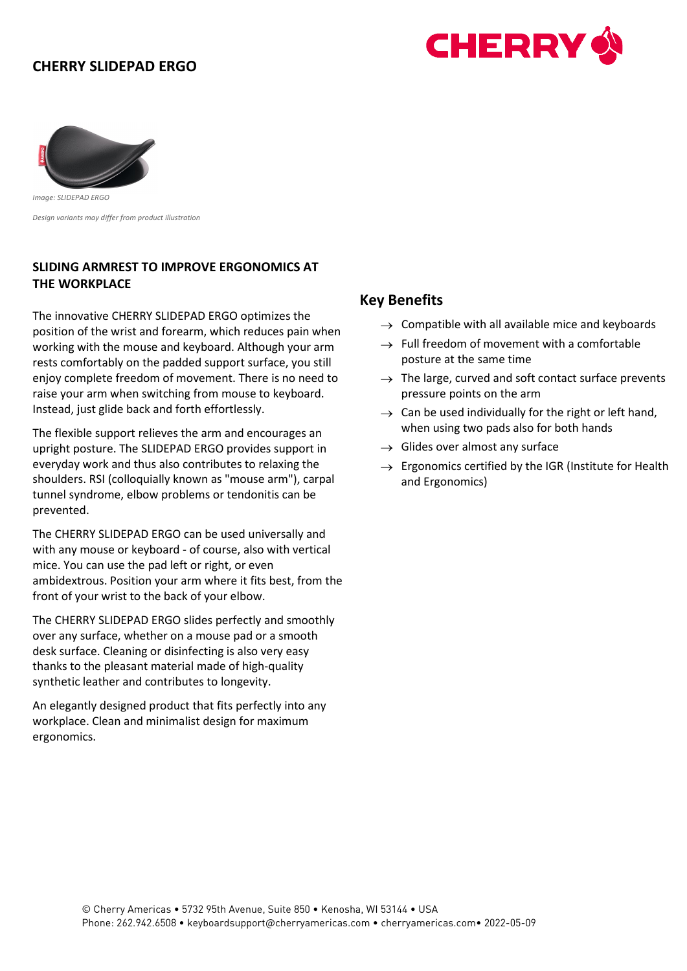# **CHERRY SLIDEPAD ERGO**





*Image: SLIDEPAD ERGO Design variants may differ from product illustration*

#### **SLIDING ARMREST TO IMPROVE ERGONOMICS AT THE WORKPLACE**

The innovative CHERRY SLIDEPAD ERGO optimizes the position of the wrist and forearm, which reduces pain when working with the mouse and keyboard. Although your arm rests comfortably on the padded support surface, you still enjoy complete freedom of movement. There is no need to raise your arm when switching from mouse to keyboard. Instead, just glide back and forth effortlessly.

The flexible support relieves the arm and encourages an upright posture. The SLIDEPAD ERGO provides support in everyday work and thus also contributes to relaxing the shoulders. RSI (colloquially known as "mouse arm"), carpal tunnel syndrome, elbow problems or tendonitis can be prevented.

The CHERRY SLIDEPAD ERGO can be used universally and with any mouse or keyboard - of course, also with vertical mice. You can use the pad left or right, or even ambidextrous. Position your arm where it fits best, from the front of your wrist to the back of your elbow.

The CHERRY SLIDEPAD ERGO slides perfectly and smoothly over any surface, whether on a mouse pad or a smooth desk surface. Cleaning or disinfecting is also very easy thanks to the pleasant material made of high-quality synthetic leather and contributes to longevity.

An elegantly designed product that fits perfectly into any workplace. Clean and minimalist design for maximum ergonomics.

### **Key Benefits**

- $\rightarrow$  Compatible with all available mice and keyboards
- $\rightarrow$  Full freedom of movement with a comfortable posture at the same time
- $\rightarrow$  The large, curved and soft contact surface prevents pressure points on the arm
- $\rightarrow$  Can be used individually for the right or left hand, when using two pads also for both hands
- $\rightarrow$  Glides over almost any surface
- $\rightarrow$  Ergonomics certified by the IGR (Institute for Health and Ergonomics)